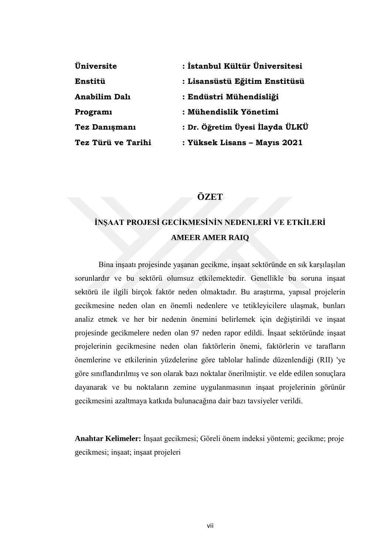| Üniversite           | : İstanbul Kültür Üniversitesi  |
|----------------------|---------------------------------|
| Enstitü              | : Lisansüstü Eğitim Enstitüsü   |
| <b>Anabilim Dalı</b> | : Endüstri Mühendisliği         |
| <b>Programi</b>      | : Mühendislik Yönetimi          |
| Tez Danışmanı        | : Dr. Öğretim Üyesi İlayda ÜLKÜ |
| Tez Türü ve Tarihi   | : Yüksek Lisans - Mayıs 2021    |

# **ÖZET**

# **İNŞAAT PROJESİ GECİKMESİNİN NEDENLERİ VE ETKİLERİ AMEER AMER RAIQ**

Bina inşaatı projesinde yaşanan gecikme, inşaat sektöründe en sık karşılaşılan sorunlardır ve bu sektörü olumsuz etkilemektedir. Genellikle bu soruna inşaat sektörü ile ilgili birçok faktör neden olmaktadır. Bu araştırma, yapısal projelerin gecikmesine neden olan en önemli nedenlere ve tetikleyicilere ulaşmak, bunları analiz etmek ve her bir nedenin önemini belirlemek için değiştirildi ve inşaat projesinde gecikmelere neden olan 97 neden rapor edildi. İnşaat sektöründe inşaat projelerinin gecikmesine neden olan faktörlerin önemi, faktörlerin ve tarafların önemlerine ve etkilerinin yüzdelerine göre tablolar halinde düzenlendiği (RII) 'ye göre sınıflandırılmış ve son olarak bazı noktalar önerilmiştir. ve elde edilen sonuçlara dayanarak ve bu noktaların zemine uygulanmasının inşaat projelerinin görünür gecikmesini azaltmaya katkıda bulunacağına dair bazı tavsiyeler verildi.

**Anahtar Kelimeler:** İnşaat gecikmesi; Göreli önem indeksi yöntemi; gecikme; proje gecikmesi; inşaat; inşaat projeleri